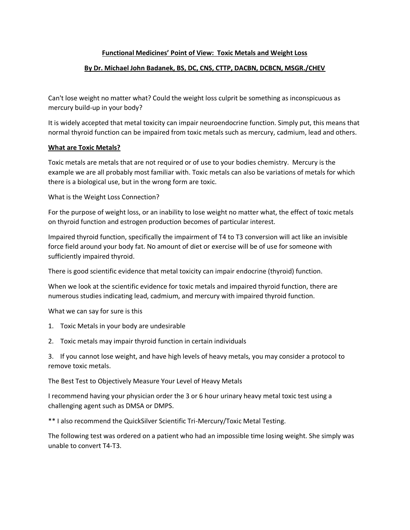## **Functional Medicines' Point of View: Toxic Metals and Weight Loss**

## **By Dr. Michael John Badanek, BS, DC, CNS, CTTP, DACBN, DCBCN, MSGR./CHEV**

Can't lose weight no matter what? Could the weight loss culprit be something as inconspicuous as mercury build-up in your body?

It is widely accepted that metal toxicity can impair neuroendocrine function. Simply put, this means that normal thyroid function can be impaired from toxic metals such as mercury, cadmium, lead and others.

## **What are Toxic Metals?**

Toxic metals are metals that are not required or of use to your bodies chemistry. Mercury is the example we are all probably most familiar with. Toxic metals can also be variations of metals for which there is a biological use, but in the wrong form are toxic.

What is the Weight Loss Connection?

For the purpose of weight loss, or an inability to lose weight no matter what, the effect of toxic metals on thyroid function and estrogen production becomes of particular interest.

Impaired thyroid function, specifically the impairment of T4 to T3 conversion will act like an invisible force field around your body fat. No amount of diet or exercise will be of use for someone with sufficiently impaired thyroid.

There is good scientific evidence that metal toxicity can impair endocrine (thyroid) function.

When we look at the scientific evidence for toxic metals and impaired thyroid function, there are numerous studies indicating lead, cadmium, and mercury with impaired thyroid function.

What we can say for sure is this

- 1. Toxic Metals in your body are undesirable
- 2. Toxic metals may impair thyroid function in certain individuals

3. If you cannot lose weight, and have high levels of heavy metals, you may consider a protocol to remove toxic metals.

The Best Test to Objectively Measure Your Level of Heavy Metals

I recommend having your physician order the 3 or 6 hour urinary heavy metal toxic test using a challenging agent such as DMSA or DMPS.

\*\* I also recommend the QuickSilver Scientific Tri-Mercury/Toxic Metal Testing.

The following test was ordered on a patient who had an impossible time losing weight. She simply was unable to convert T4-T3.